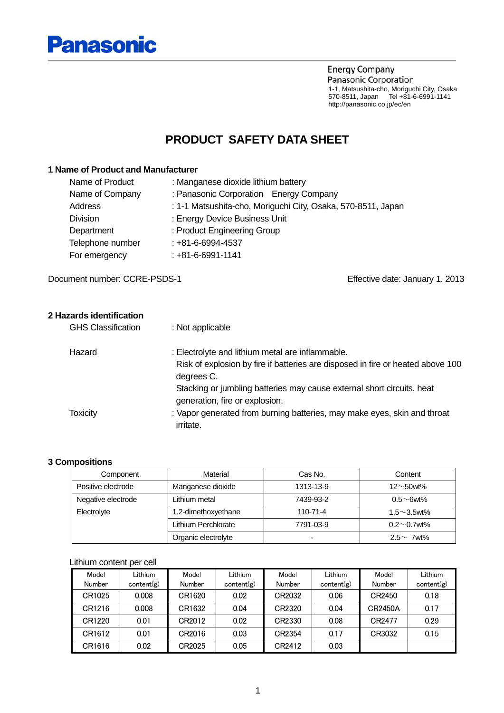

**Energy Company** Panasonic Corporation 1-1, Matsushita-cho, Moriguchi City, Osaka 570-8511, Japan Tel +81-6-6991-1141 http://panasonic.co.jp/ec/en

### **PRODUCT SAFETY DATA SHEET**

#### **1 Name of Product and Manufacturer**

| Name of Product  | : Manganese dioxide lithium battery                          |
|------------------|--------------------------------------------------------------|
| Name of Company  | : Panasonic Corporation Energy Company                       |
| Address          | : 1-1 Matsushita-cho, Moriguchi City, Osaka, 570-8511, Japan |
| <b>Division</b>  | : Energy Device Business Unit                                |
| Department       | : Product Engineering Group                                  |
| Telephone number | $: +81 - 6 - 6994 - 4537$                                    |
| For emergency    | $: +81 - 6 - 6991 - 1141$                                    |

Document number: CCRE-PSDS-1 Effective date: January 1. 2013

| 2 Hazards identification  |                                                                                                          |
|---------------------------|----------------------------------------------------------------------------------------------------------|
| <b>GHS Classification</b> | : Not applicable                                                                                         |
| Hazard                    | : Electrolyte and lithium metal are inflammable.                                                         |
|                           | Risk of explosion by fire if batteries are disposed in fire or heated above 100<br>degrees C.            |
|                           | Stacking or jumbling batteries may cause external short circuits, heat<br>generation, fire or explosion. |
| Toxicity                  | : Vapor generated from burning batteries, may make eyes, skin and throat<br>irritate.                    |

#### **3 Compositions**

| Component                           | Material            | Cas No.        | Content            |
|-------------------------------------|---------------------|----------------|--------------------|
| Positive electrode                  | Manganese dioxide   | 1313-13-9      | $12 \sim 50$ wt%   |
| Negative electrode<br>Lithium metal |                     | 7439-93-2      | $0.5 \sim 6$ wt%   |
| 1,2-dimethoxyethane<br>Electrolyte  |                     | $110 - 71 - 4$ | $1.5 \sim 3.5$ wt% |
|                                     | Lithium Perchlorate | 7791-03-9      | $0.2 \sim 0.7$ wt% |
|                                     | Organic electrolyte |                | $2.5 \sim 7$ wt%   |

#### Lithium content per cell

| Model  | Lithium    | Model  | Lithium    | Model  | Lithium    | Model          | Lithium    |
|--------|------------|--------|------------|--------|------------|----------------|------------|
| Number | content(g) | Number | content(g) | Number | content(g) | Number         | content(g) |
| CR1025 | 0.008      | CR1620 | 0.02       | CR2032 | 0.06       | CR2450         | 0.18       |
| CR1216 | 0.008      | CR1632 | 0.04       | CR2320 | 0.04       | <b>CR2450A</b> | 0.17       |
| CR1220 | 0.01       | CR2012 | 0.02       | CR2330 | 0.08       | CR2477         | 0.29       |
| CR1612 | 0.01       | CR2016 | 0.03       | CR2354 | 0.17       | CR3032         | 0.15       |
| CR1616 | 0.02       | CR2025 | 0.05       | CR2412 | 0.03       |                |            |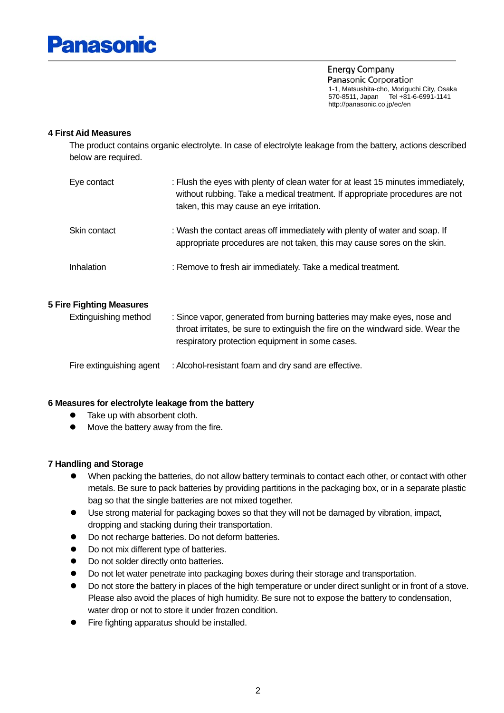

**Energy Company** Panasonic Corporation 1-1, Matsushita-cho, Moriguchi City, Osaka 570-8511, Japan Tel +81-6-6991-1141 http://panasonic.co.jp/ec/en

#### **4 First Aid Measures**

 The product contains organic electrolyte. In case of electrolyte leakage from the battery, actions described below are required.

| Eye contact  | : Flush the eyes with plenty of clean water for at least 15 minutes immediately,<br>without rubbing. Take a medical treatment. If appropriate procedures are not<br>taken, this may cause an eye irritation. |
|--------------|--------------------------------------------------------------------------------------------------------------------------------------------------------------------------------------------------------------|
| Skin contact | : Wash the contact areas off immediately with plenty of water and soap. If<br>appropriate procedures are not taken, this may cause sores on the skin.                                                        |
| Inhalation   | : Remove to fresh air immediately. Take a medical treatment.                                                                                                                                                 |

#### **5 Fire Fighting Measures**

| Extinguishing method     | : Since vapor, generated from burning batteries may make eyes, nose and<br>throat irritates, be sure to extinguish the fire on the windward side. Wear the<br>respiratory protection equipment in some cases. |
|--------------------------|---------------------------------------------------------------------------------------------------------------------------------------------------------------------------------------------------------------|
| Fire extinguishing agent | : Alcohol-resistant foam and dry sand are effective.                                                                                                                                                          |

### **6 Measures for electrolyte leakage from the battery**

- $\bullet$  Take up with absorbent cloth.
- $\bullet$  Move the battery away from the fire.

#### **7 Handling and Storage**

- When packing the batteries, do not allow battery terminals to contact each other, or contact with other metals. Be sure to pack batteries by providing partitions in the packaging box, or in a separate plastic bag so that the single batteries are not mixed together.
- $\bullet$  Use strong material for packaging boxes so that they will not be damaged by vibration, impact, dropping and stacking during their transportation.
- Do not recharge batteries. Do not deform batteries.
- Do not mix different type of batteries.
- Do not solder directly onto batteries.
- Do not let water penetrate into packaging boxes during their storage and transportation.
- Do not store the battery in places of the high temperature or under direct sunlight or in front of a stove. Please also avoid the places of high humidity. Be sure not to expose the battery to condensation, water drop or not to store it under frozen condition.
- Fire fighting apparatus should be installed.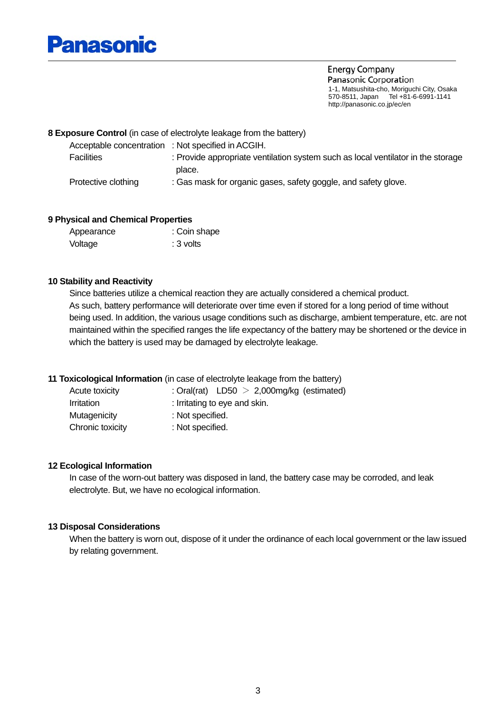## Panasonic

**Energy Company** Panasonic Corporation 1-1, Matsushita-cho, Moriguchi City, Osaka 570-8511, Japan Tel +81-6-6991-1141 http://panasonic.co.jp/ec/en

#### **8 Exposure Control** (in case of electrolyte leakage from the battery)

| Acceptable concentration : Not specified in ACGIH. |                                                                                  |
|----------------------------------------------------|----------------------------------------------------------------------------------|
| <b>Facilities</b>                                  | : Provide appropriate ventilation system such as local ventilator in the storage |
|                                                    | place.                                                                           |
| Protective clothing                                | : Gas mask for organic gases, safety goggle, and safety glove.                   |

#### **9 Physical and Chemical Properties**

| Appearance | : Coin shape |
|------------|--------------|
| Voltage    | : 3 volts    |

#### **10 Stability and Reactivity**

 Since batteries utilize a chemical reaction they are actually considered a chemical product. As such, battery performance will deteriorate over time even if stored for a long period of time without being used. In addition, the various usage conditions such as discharge, ambient temperature, etc. are not maintained within the specified ranges the life expectancy of the battery may be shortened or the device in which the battery is used may be damaged by electrolyte leakage.

#### **11 Toxicological Information** (in case of electrolyte leakage from the battery)

| Acute toxicity    | : Oral(rat) $LD50 > 2,000$ mg/kg (estimated) |
|-------------------|----------------------------------------------|
| <i>Irritation</i> | : Irritating to eye and skin.                |
| Mutagenicity      | : Not specified.                             |
| Chronic toxicity  | : Not specified.                             |

#### **12 Ecological Information**

 In case of the worn-out battery was disposed in land, the battery case may be corroded, and leak electrolyte. But, we have no ecological information.

#### **13 Disposal Considerations**

 When the battery is worn out, dispose of it under the ordinance of each local government or the law issued by relating government.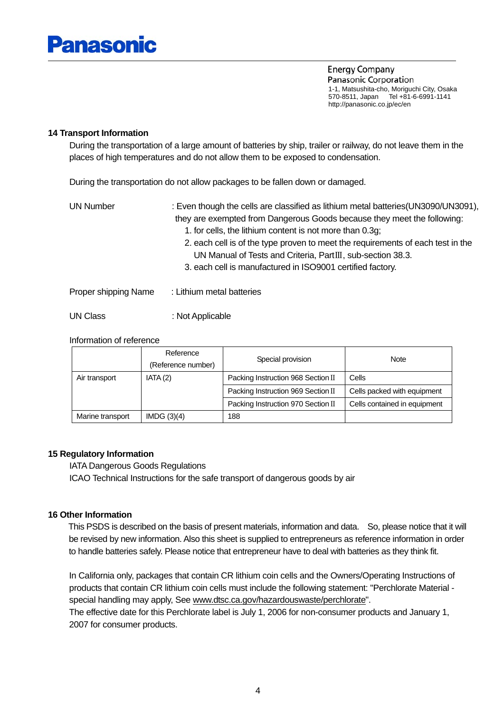# Panasonic

**Energy Company** Panasonic Corporation 1-1, Matsushita-cho, Moriguchi City, Osaka 570-8511, Japan Tel +81-6-6991-1141 http://panasonic.co.jp/ec/en

#### **14 Transport Information**

 During the transportation of a large amount of batteries by ship, trailer or railway, do not leave them in the places of high temperatures and do not allow them to be exposed to condensation.

During the transportation do not allow packages to be fallen down or damaged.

| UN Number            | : Even though the cells are classified as lithium metal batteries (UN3090/UN3091),<br>they are exempted from Dangerous Goods because they meet the following:<br>1. for cells, the lithium content is not more than 0.3g;<br>2. each cell is of the type proven to meet the requirements of each test in the<br>UN Manual of Tests and Criteria, PartIII, sub-section 38.3. |
|----------------------|-----------------------------------------------------------------------------------------------------------------------------------------------------------------------------------------------------------------------------------------------------------------------------------------------------------------------------------------------------------------------------|
| Proper shipping Name | 3. each cell is manufactured in ISO9001 certified factory.<br>: Lithium metal batteries                                                                                                                                                                                                                                                                                     |
| UN Class             | : Not Applicable                                                                                                                                                                                                                                                                                                                                                            |

#### Information of reference

|                  | Reference          | Special provision                  | Note                         |  |
|------------------|--------------------|------------------------------------|------------------------------|--|
|                  | (Reference number) |                                    |                              |  |
| Air transport    | IATA(2)            | Packing Instruction 968 Section II | Cells                        |  |
|                  |                    | Packing Instruction 969 Section II | Cells packed with equipment  |  |
|                  |                    | Packing Instruction 970 Section II | Cells contained in equipment |  |
| Marine transport | IMDG $(3)(4)$      | 188                                |                              |  |

#### **15 Regulatory Information**

 IATA Dangerous Goods Regulations ICAO Technical Instructions for the safe transport of dangerous goods by air

#### **16 Other Information**

 This PSDS is described on the basis of present materials, information and data. So, please notice that it will be revised by new information. Also this sheet is supplied to entrepreneurs as reference information in order to handle batteries safely. Please notice that entrepreneur have to deal with batteries as they think fit.

In California only, packages that contain CR lithium coin cells and the Owners/Operating Instructions of products that contain CR lithium coin cells must include the following statement: "Perchlorate Material special handling may apply, See [www.dtsc.ca.gov/hazardouswaste/perchlorate](http://www.dtsc.ca.gov/hazardouswaste/perchlorate)".

The effective date for this Perchlorate label is July 1, 2006 for non-consumer products and January 1, 2007 for consumer products.